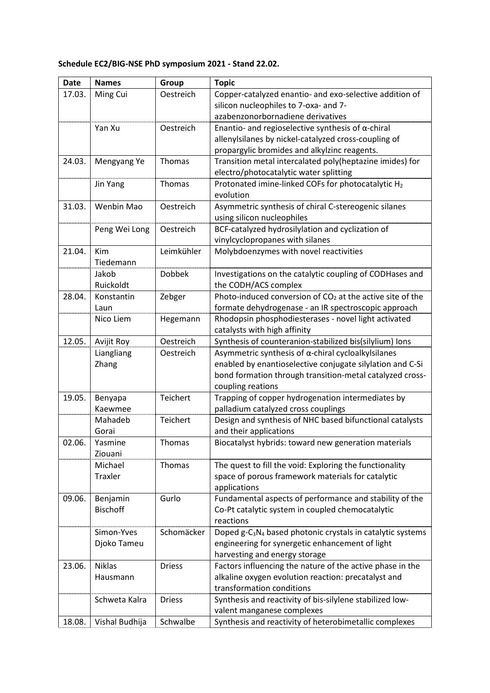## **Schedule EC2/BIG-NSE PhD symposium 2021 - Stand 22.02.**

| <b>Date</b> | <b>Names</b>       | Group         | <b>Topic</b>                                                                                                 |
|-------------|--------------------|---------------|--------------------------------------------------------------------------------------------------------------|
| 17.03.      | Ming Cui           | Oestreich     | Copper-catalyzed enantio- and exo-selective addition of                                                      |
|             |                    |               | silicon nucleophiles to 7-oxa- and 7-                                                                        |
|             |                    |               | azabenzonorbornadiene derivatives                                                                            |
|             | Yan Xu             | Oestreich     | Enantio- and regioselective synthesis of $\alpha$ -chiral                                                    |
|             |                    |               | allenylsilanes by nickel-catalyzed cross-coupling of                                                         |
|             |                    |               | propargylic bromides and alkylzinc reagents.                                                                 |
| 24.03.      | Mengyang Ye        | Thomas        | Transition metal intercalated poly(heptazine imides) for                                                     |
|             |                    |               | electro/photocatalytic water splitting                                                                       |
|             | Jin Yang           | Thomas        | Protonated imine-linked COFs for photocatalytic H <sub>2</sub>                                               |
|             |                    |               | evolution                                                                                                    |
| 31.03.      | Wenbin Mao         | Oestreich     | Asymmetric synthesis of chiral C-stereogenic silanes                                                         |
|             |                    |               | using silicon nucleophiles                                                                                   |
|             | Peng Wei Long      | Oestreich     | BCF-catalyzed hydrosilylation and cyclization of                                                             |
|             |                    |               | vinylcyclopropanes with silanes                                                                              |
| 21.04.      | Kim                | Leimkühler    | Molybdoenzymes with novel reactivities                                                                       |
|             | Tiedemann          |               |                                                                                                              |
|             | Jakob              | <b>Dobbek</b> | Investigations on the catalytic coupling of CODHases and                                                     |
|             | Ruickoldt          |               | the CODH/ACS complex                                                                                         |
| 28.04.      | Konstantin         | Zebger        | Photo-induced conversion of $CO2$ at the active site of the                                                  |
|             | Laun               |               | formate dehydrogenase - an IR spectroscopic approach                                                         |
|             | Nico Liem          | Hegemann      | Rhodopsin phosphodiesterases - novel light activated                                                         |
|             |                    |               | catalysts with high affinity                                                                                 |
| 12.05.      | Avijit Roy         | Oestreich     | Synthesis of counteranion-stabilized bis(silylium) lons                                                      |
|             | Liangliang         | Oestreich     | Asymmetric synthesis of $\alpha$ -chiral cycloalkylsilanes                                                   |
|             | Zhang              |               | enabled by enantioselective conjugate silylation and C-Si                                                    |
|             |                    |               | bond formation through transition-metal catalyzed cross-                                                     |
|             |                    |               | coupling reations                                                                                            |
| 19.05.      | Benyapa            | Teichert      | Trapping of copper hydrogenation intermediates by                                                            |
|             | Kaewmee            |               | palladium catalyzed cross couplings                                                                          |
|             | Mahadeb            | Teichert      | Design and synthesis of NHC based bifunctional catalysts                                                     |
|             | Gorai              |               | and their applications                                                                                       |
| 02.06.      | Yasmine            | Thomas        | Biocatalyst hybrids: toward new generation materials                                                         |
|             | Ziouani<br>Michael |               |                                                                                                              |
|             | Traxler            | Thomas        | The quest to fill the void: Exploring the functionality<br>space of porous framework materials for catalytic |
|             |                    |               | applications                                                                                                 |
| 09.06.      | Benjamin           | Gurlo         | Fundamental aspects of performance and stability of the                                                      |
|             | <b>Bischoff</b>    |               | Co-Pt catalytic system in coupled chemocatalytic                                                             |
|             |                    |               | reactions                                                                                                    |
|             | Simon-Yves         | Schomäcker    | Doped g-C <sub>3</sub> N <sub>4</sub> based photonic crystals in catalytic systems                           |
|             | Djoko Tameu        |               | engineering for synergetic enhancement of light                                                              |
|             |                    |               | harvesting and energy storage                                                                                |
| 23.06.      | <b>Niklas</b>      | <b>Driess</b> | Factors influencing the nature of the active phase in the                                                    |
|             | Hausmann           |               | alkaline oxygen evolution reaction: precatalyst and                                                          |
|             |                    |               | transformation conditions                                                                                    |
|             | Schweta Kalra      | <b>Driess</b> | Synthesis and reactivity of bis-silylene stabilized low-                                                     |
|             |                    |               | valent manganese complexes                                                                                   |
| 18.08.      | Vishal Budhija     | Schwalbe      | Synthesis and reactivity of heterobimetallic complexes                                                       |